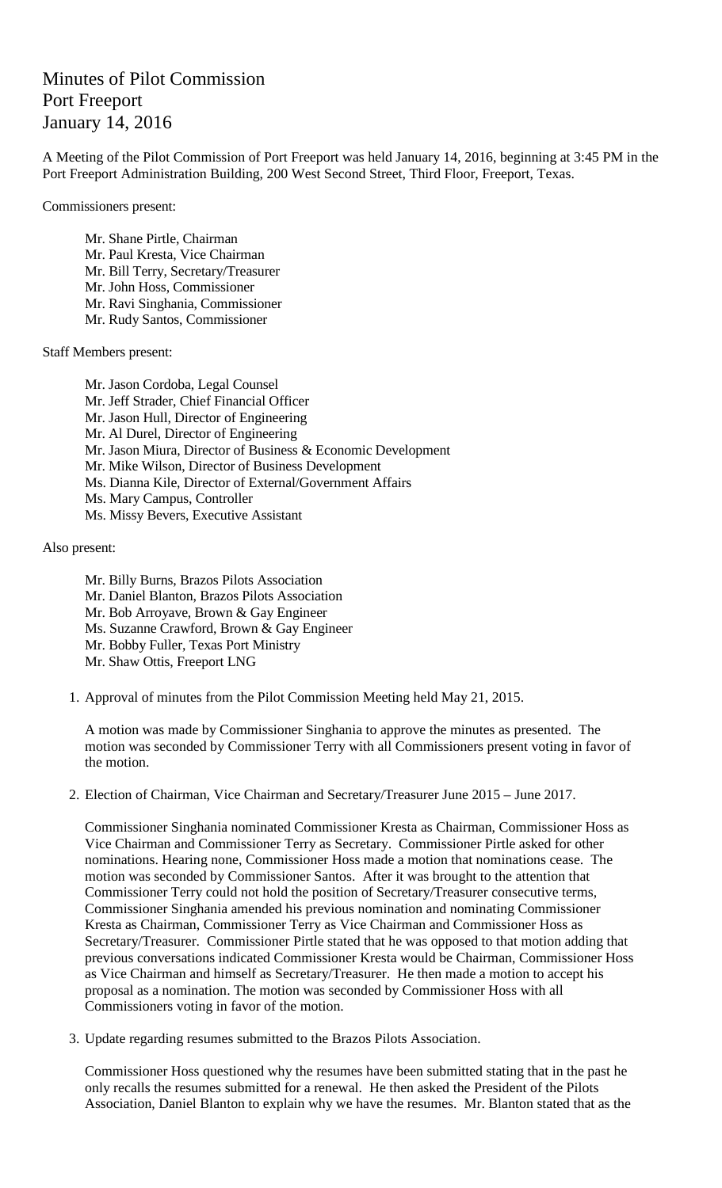## Minutes of Pilot Commission Port Freeport January 14, 2016

A Meeting of the Pilot Commission of Port Freeport was held January 14, 2016, beginning at 3:45 PM in the Port Freeport Administration Building, 200 West Second Street, Third Floor, Freeport, Texas.

Commissioners present:

Mr. Shane Pirtle, Chairman Mr. Paul Kresta, Vice Chairman Mr. Bill Terry, Secretary/Treasurer Mr. John Hoss, Commissioner Mr. Ravi Singhania, Commissioner Mr. Rudy Santos, Commissioner

Staff Members present:

Mr. Jason Cordoba, Legal Counsel Mr. Jeff Strader, Chief Financial Officer Mr. Jason Hull, Director of Engineering Mr. Al Durel, Director of Engineering Mr. Jason Miura, Director of Business & Economic Development Mr. Mike Wilson, Director of Business Development Ms. Dianna Kile, Director of External/Government Affairs Ms. Mary Campus, Controller Ms. Missy Bevers, Executive Assistant

Also present:

Mr. Billy Burns, Brazos Pilots Association Mr. Daniel Blanton, Brazos Pilots Association Mr. Bob Arroyave, Brown & Gay Engineer Ms. Suzanne Crawford, Brown & Gay Engineer Mr. Bobby Fuller, Texas Port Ministry Mr. Shaw Ottis, Freeport LNG

1. Approval of minutes from the Pilot Commission Meeting held May 21, 2015.

A motion was made by Commissioner Singhania to approve the minutes as presented. The motion was seconded by Commissioner Terry with all Commissioners present voting in favor of the motion.

2. Election of Chairman, Vice Chairman and Secretary/Treasurer June 2015 – June 2017.

Commissioner Singhania nominated Commissioner Kresta as Chairman, Commissioner Hoss as Vice Chairman and Commissioner Terry as Secretary. Commissioner Pirtle asked for other nominations. Hearing none, Commissioner Hoss made a motion that nominations cease. The motion was seconded by Commissioner Santos. After it was brought to the attention that Commissioner Terry could not hold the position of Secretary/Treasurer consecutive terms, Commissioner Singhania amended his previous nomination and nominating Commissioner Kresta as Chairman, Commissioner Terry as Vice Chairman and Commissioner Hoss as Secretary/Treasurer. Commissioner Pirtle stated that he was opposed to that motion adding that previous conversations indicated Commissioner Kresta would be Chairman, Commissioner Hoss as Vice Chairman and himself as Secretary/Treasurer. He then made a motion to accept his proposal as a nomination. The motion was seconded by Commissioner Hoss with all Commissioners voting in favor of the motion.

3. Update regarding resumes submitted to the Brazos Pilots Association.

Commissioner Hoss questioned why the resumes have been submitted stating that in the past he only recalls the resumes submitted for a renewal. He then asked the President of the Pilots Association, Daniel Blanton to explain why we have the resumes. Mr. Blanton stated that as the